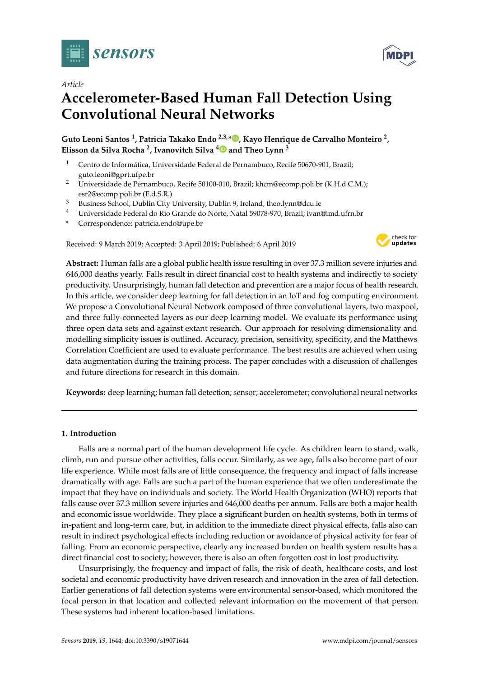

*Article*

# **Accelerometer-Based Human Fall Detection Using Convolutional Neural Networks**

**Guto Leoni Santos <sup>1</sup> , Patricia Takako Endo 2,3,[\\*](https://orcid.org/0000-0002-9163-5583) , Kayo Henrique de Carvalho Monteiro <sup>2</sup> , Elisson da Silva Rocha <sup>2</sup> , Ivanovitch Silva [4](https://orcid.org/0000-0002-0116-6489) and Theo Lynn <sup>3</sup>**

- <sup>1</sup> Centro de Informática, Universidade Federal de Pernambuco, Recife 50670-901, Brazil: guto.leoni@gprt.ufpe.br
- <sup>2</sup> Universidade de Pernambuco, Recife 50100-010, Brazil; khcm@ecomp.poli.br (K.H.d.C.M.); esr2@ecomp.poli.br (E.d.S.R.)
- <sup>3</sup> Business School, Dublin City University, Dublin 9, Ireland; theo.lynn@dcu.ie
- <sup>4</sup> Universidade Federal do Rio Grande do Norte, Natal 59078-970, Brazil; ivan@imd.ufrn.br
- **\*** Correspondence: patricia.endo@upe.br

Received: 9 March 2019; Accepted: 3 April 2019; Published: 6 April 2019



**Abstract:** Human falls are a global public health issue resulting in over 37.3 million severe injuries and 646,000 deaths yearly. Falls result in direct financial cost to health systems and indirectly to society productivity. Unsurprisingly, human fall detection and prevention are a major focus of health research. In this article, we consider deep learning for fall detection in an IoT and fog computing environment. We propose a Convolutional Neural Network composed of three convolutional layers, two maxpool, and three fully-connected layers as our deep learning model. We evaluate its performance using three open data sets and against extant research. Our approach for resolving dimensionality and modelling simplicity issues is outlined. Accuracy, precision, sensitivity, specificity, and the Matthews Correlation Coefficient are used to evaluate performance. The best results are achieved when using data augmentation during the training process. The paper concludes with a discussion of challenges and future directions for research in this domain.

**Keywords:** deep learning; human fall detection; sensor; accelerometer; convolutional neural networks

# **1. Introduction**

Falls are a normal part of the human development life cycle. As children learn to stand, walk, climb, run and pursue other activities, falls occur. Similarly, as we age, falls also become part of our life experience. While most falls are of little consequence, the frequency and impact of falls increase dramatically with age. Falls are such a part of the human experience that we often underestimate the impact that they have on individuals and society. The World Health Organization (WHO) reports that falls cause over 37.3 million severe injuries and 646,000 deaths per annum. Falls are both a major health and economic issue worldwide. They place a significant burden on health systems, both in terms of in-patient and long-term care, but, in addition to the immediate direct physical effects, falls also can result in indirect psychological effects including reduction or avoidance of physical activity for fear of falling. From an economic perspective, clearly any increased burden on health system results has a direct financial cost to society; however, there is also an often forgotten cost in lost productivity.

Unsurprisingly, the frequency and impact of falls, the risk of death, healthcare costs, and lost societal and economic productivity have driven research and innovation in the area of fall detection. Earlier generations of fall detection systems were environmental sensor-based, which monitored the focal person in that location and collected relevant information on the movement of that person. These systems had inherent location-based limitations.

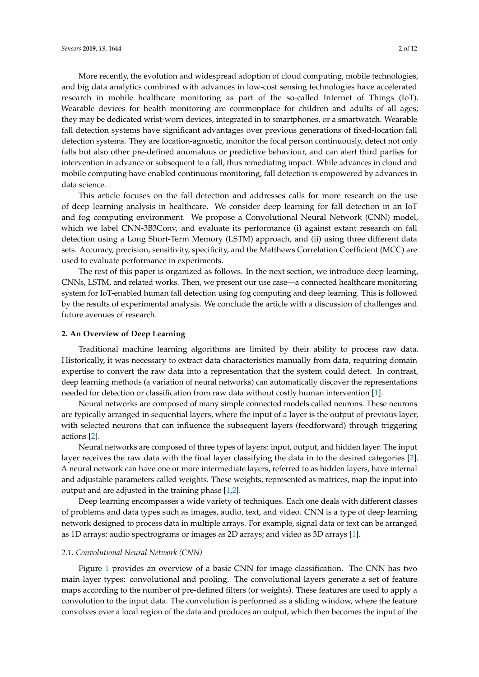More recently, the evolution and widespread adoption of cloud computing, mobile technologies, and big data analytics combined with advances in low-cost sensing technologies have accelerated research in mobile healthcare monitoring as part of the so-called Internet of Things (IoT). Wearable devices for health monitoring are commonplace for children and adults of all ages; they may be dedicated wrist-worn devices, integrated in to smartphones, or a smartwatch. Wearable fall detection systems have significant advantages over previous generations of fixed-location fall detection systems. They are location-agnostic, monitor the focal person continuously, detect not only falls but also other pre-defined anomalous or predictive behaviour, and can alert third parties for intervention in advance or subsequent to a fall, thus remediating impact. While advances in cloud and mobile computing have enabled continuous monitoring, fall detection is empowered by advances in data science.

This article focuses on the fall detection and addresses calls for more research on the use of deep learning analysis in healthcare. We consider deep learning for fall detection in an IoT and fog computing environment. We propose a Convolutional Neural Network (CNN) model, which we label CNN-3B3Conv, and evaluate its performance (i) against extant research on fall detection using a Long Short-Term Memory (LSTM) approach, and (ii) using three different data sets. Accuracy, precision, sensitivity, specificity, and the Matthews Correlation Coefficient (MCC) are used to evaluate performance in experiments.

The rest of this paper is organized as follows. In the next section, we introduce deep learning, CNNs, LSTM, and related works. Then, we present our use case—a connected healthcare monitoring system for IoT-enabled human fall detection using fog computing and deep learning. This is followed by the results of experimental analysis. We conclude the article with a discussion of challenges and future avenues of research.

## <span id="page-1-0"></span>**2. An Overview of Deep Learning**

Traditional machine learning algorithms are limited by their ability to process raw data. Historically, it was necessary to extract data characteristics manually from data, requiring domain expertise to convert the raw data into a representation that the system could detect. In contrast, deep learning methods (a variation of neural networks) can automatically discover the representations needed for detection or classification from raw data without costly human intervention [\[1\]](#page-10-0).

Neural networks are composed of many simple connected models called neurons. These neurons are typically arranged in sequential layers, where the input of a layer is the output of previous layer, with selected neurons that can influence the subsequent layers (feedforward) through triggering actions [\[2\]](#page-10-1).

Neural networks are composed of three types of layers: input, output, and hidden layer. The input layer receives the raw data with the final layer classifying the data in to the desired categories [\[2\]](#page-10-1). A neural network can have one or more intermediate layers, referred to as hidden layers, have internal and adjustable parameters called weights. These weights, represented as matrices, map the input into output and are adjusted in the training phase [\[1,](#page-10-0)[2\]](#page-10-1).

Deep learning encompasses a wide variety of techniques. Each one deals with different classes of problems and data types such as images, audio, text, and video. CNN is a type of deep learning network designed to process data in multiple arrays. For example, signal data or text can be arranged as 1D arrays; audio spectrograms or images as 2D arrays; and video as 3D arrays [\[1\]](#page-10-0).

## *2.1. Convolutional Neural Network (CNN)*

Figure [1](#page-2-0) provides an overview of a basic CNN for image classification. The CNN has two main layer types: convolutional and pooling. The convolutional layers generate a set of feature maps according to the number of pre-defined filters (or weights). These features are used to apply a convolution to the input data. The convolution is performed as a sliding window, where the feature convolves over a local region of the data and produces an output, which then becomes the input of the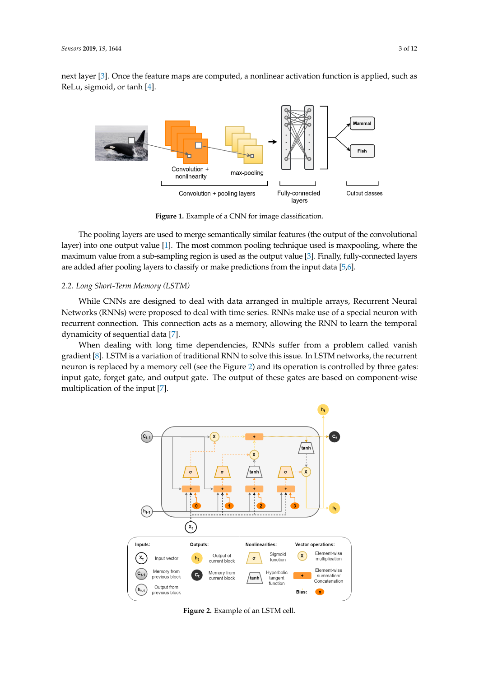<span id="page-2-0"></span>next layer [\[3\]](#page-10-2). Once the feature maps are computed, a nonlinear activation function is applied, such as ReLu, sigmoid, or tanh [\[4\]](#page-10-3).



**Figure 1.** Example of a CNN for image classification.

The pooling layers are used to merge semantically similar features (the output of the convolutional layer) into one output value [\[1\]](#page-10-0). The most common pooling technique used is maxpooling, where the maximum value from a sub-sampling region is used as the output value [\[3\]](#page-10-2). Finally, fully-connected layers are added after pooling layers to classify or make predictions from the input data [\[5,](#page-10-4)[6\]](#page-10-5).

## *2.2. Long Short-Term Memory (LSTM)*

While CNNs are designed to deal with data arranged in multiple arrays, Recurrent Neural Networks (RNNs) were proposed to deal with time series. RNNs make use of a special neuron with recurrent connection. This connection acts as a memory, allowing the RNN to learn the temporal dynamicity of sequential data [\[7\]](#page-10-6).

<span id="page-2-1"></span>When dealing with long time dependencies, RNNs suffer from a problem called vanish gradient [\[8\]](#page-10-7). LSTM is a variation of traditional RNN to solve this issue. In LSTM networks, the recurrent neuron is replaced by a memory cell (see the Figure [2\)](#page-2-1) and its operation is controlled by three gates: input gate, forget gate, and output gate. The output of these gates are based on component-wise multiplication of the input [\[7\]](#page-10-6).



**Figure 2.** Example of an LSTM cell.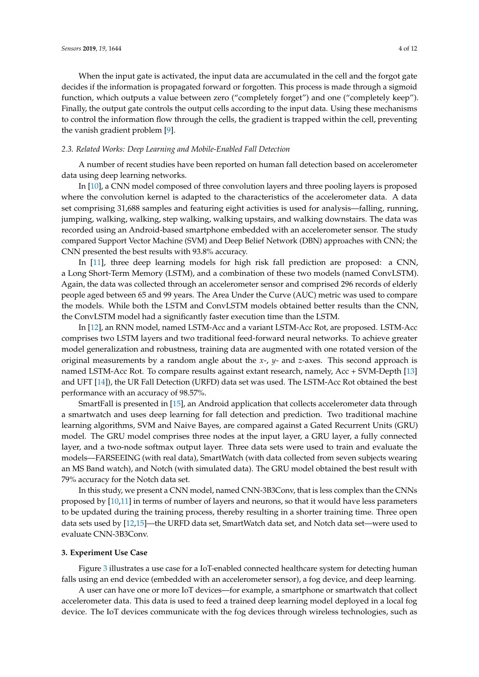When the input gate is activated, the input data are accumulated in the cell and the forgot gate decides if the information is propagated forward or forgotten. This process is made through a sigmoid function, which outputs a value between zero ("completely forget") and one ("completely keep"). Finally, the output gate controls the output cells according to the input data. Using these mechanisms to control the information flow through the cells, the gradient is trapped within the cell, preventing the vanish gradient problem [\[9\]](#page-10-8).

# *2.3. Related Works: Deep Learning and Mobile-Enabled Fall Detection*

A number of recent studies have been reported on human fall detection based on accelerometer data using deep learning networks.

In [\[10\]](#page-10-9), a CNN model composed of three convolution layers and three pooling layers is proposed where the convolution kernel is adapted to the characteristics of the accelerometer data. A data set comprising 31,688 samples and featuring eight activities is used for analysis—falling, running, jumping, walking, walking, step walking, walking upstairs, and walking downstairs. The data was recorded using an Android-based smartphone embedded with an accelerometer sensor. The study compared Support Vector Machine (SVM) and Deep Belief Network (DBN) approaches with CNN; the CNN presented the best results with 93.8% accuracy.

In [\[11\]](#page-10-10), three deep learning models for high risk fall prediction are proposed: a CNN, a Long Short-Term Memory (LSTM), and a combination of these two models (named ConvLSTM). Again, the data was collected through an accelerometer sensor and comprised 296 records of elderly people aged between 65 and 99 years. The Area Under the Curve (AUC) metric was used to compare the models. While both the LSTM and ConvLSTM models obtained better results than the CNN, the ConvLSTM model had a significantly faster execution time than the LSTM.

In [\[12\]](#page-10-11), an RNN model, named LSTM-Acc and a variant LSTM-Acc Rot, are proposed. LSTM-Acc comprises two LSTM layers and two traditional feed-forward neural networks. To achieve greater model generalization and robustness, training data are augmented with one rotated version of the original measurements by a random angle about the *x*-, *y*- and *z*-axes. This second approach is named LSTM-Acc Rot. To compare results against extant research, namely, Acc + SVM-Depth [\[13\]](#page-11-0) and UFT [\[14\]](#page-11-1)), the UR Fall Detection (URFD) data set was used. The LSTM-Acc Rot obtained the best performance with an accuracy of 98.57%.

SmartFall is presented in [\[15\]](#page-11-2), an Android application that collects accelerometer data through a smartwatch and uses deep learning for fall detection and prediction. Two traditional machine learning algorithms, SVM and Naive Bayes, are compared against a Gated Recurrent Units (GRU) model. The GRU model comprises three nodes at the input layer, a GRU layer, a fully connected layer, and a two-node softmax output layer. Three data sets were used to train and evaluate the models—FARSEEING (with real data), SmartWatch (with data collected from seven subjects wearing an MS Band watch), and Notch (with simulated data). The GRU model obtained the best result with 79% accuracy for the Notch data set.

In this study, we present a CNN model, named CNN-3B3Conv, that is less complex than the CNNs proposed by [\[10,](#page-10-9)[11\]](#page-10-10) in terms of number of layers and neurons, so that it would have less parameters to be updated during the training process, thereby resulting in a shorter training time. Three open data sets used by [\[12](#page-10-11)[,15\]](#page-11-2)—the URFD data set, SmartWatch data set, and Notch data set—were used to evaluate CNN-3B3Conv.

# **3. Experiment Use Case**

Figure [3](#page-4-0) illustrates a use case for a IoT-enabled connected healthcare system for detecting human falls using an end device (embedded with an accelerometer sensor), a fog device, and deep learning.

A user can have one or more IoT devices—for example, a smartphone or smartwatch that collect accelerometer data. This data is used to feed a trained deep learning model deployed in a local fog device. The IoT devices communicate with the fog devices through wireless technologies, such as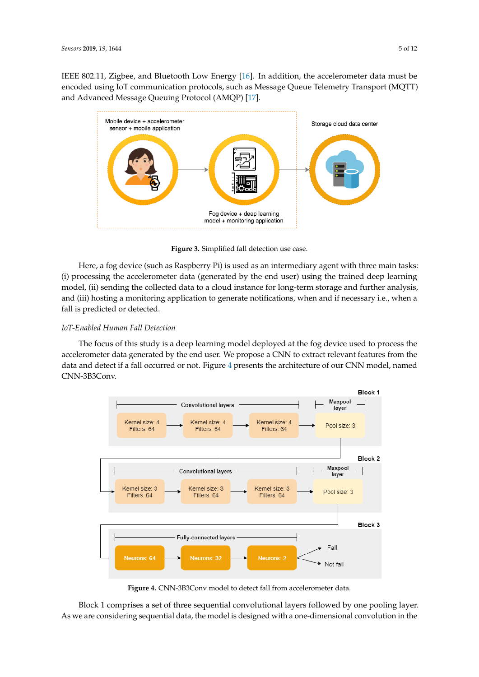IEEE 802.11, Zigbee, and Bluetooth Low Energy [\[16\]](#page-11-3). In addition, the accelerometer data must be encoded using IoT communication protocols, such as Message Queue Telemetry Transport (MQTT) and Advanced Message Queuing Protocol (AMQP) [\[17\]](#page-11-4).

<span id="page-4-0"></span>

**Figure 3.** Simplified fall detection use case.

Here, a fog device (such as Raspberry Pi) is used as an intermediary agent with three main tasks: (i) processing the accelerometer data (generated by the end user) using the trained deep learning model, (ii) sending the collected data to a cloud instance for long-term storage and further analysis, and (iii) hosting a monitoring application to generate notifications, when and if necessary i.e., when a fall is predicted or detected.

# *IoT-Enabled Human Fall Detection*

The focus of this study is a deep learning model deployed at the fog device used to process the accelerometer data generated by the end user. We propose a CNN to extract relevant features from the data and detect if a fall occurred or not. Figure [4](#page-4-1) presents the architecture of our CNN model, named CNN-3B3Conv.

<span id="page-4-1"></span>

**Figure 4.** CNN-3B3Conv model to detect fall from accelerometer data.

Block 1 comprises a set of three sequential convolutional layers followed by one pooling layer. As we are considering sequential data, the model is designed with a one-dimensional convolution in the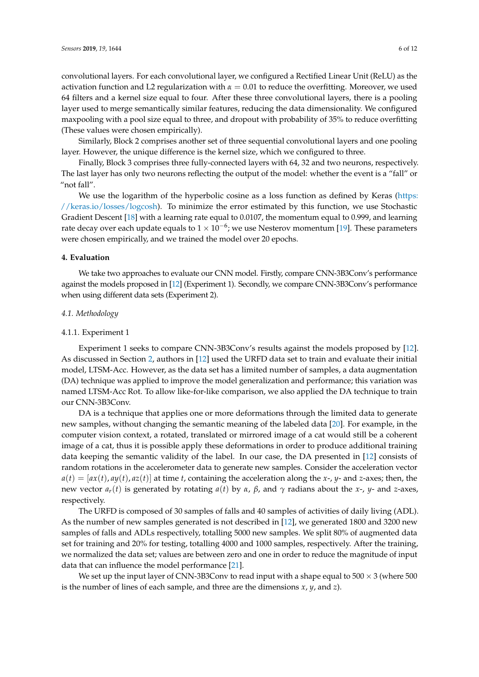convolutional layers. For each convolutional layer, we configured a Rectified Linear Unit (ReLU) as the activation function and L2 regularization with *α* = 0.01 to reduce the overfitting. Moreover, we used 64 filters and a kernel size equal to four. After these three convolutional layers, there is a pooling layer used to merge semantically similar features, reducing the data dimensionality. We configured maxpooling with a pool size equal to three, and dropout with probability of 35% to reduce overfitting (These values were chosen empirically).

Similarly, Block 2 comprises another set of three sequential convolutional layers and one pooling layer. However, the unique difference is the kernel size, which we configured to three.

Finally, Block 3 comprises three fully-connected layers with 64, 32 and two neurons, respectively. The last layer has only two neurons reflecting the output of the model: whether the event is a "fall" or "not fall".

We use the logarithm of the hyperbolic cosine as a loss function as defined by Keras [\(https:](https://keras.io/losses/logcosh) [//keras.io/losses/logcosh\)](https://keras.io/losses/logcosh). To minimize the error estimated by this function, we use Stochastic Gradient Descent [\[18\]](#page-11-5) with a learning rate equal to 0.0107, the momentum equal to 0.999, and learning rate decay over each update equals to 1  $\times$  10<sup>-6</sup>; we use Nesterov momentum [\[19\]](#page-11-6). These parameters were chosen empirically, and we trained the model over 20 epochs.

## <span id="page-5-1"></span>**4. Evaluation**

We take two approaches to evaluate our CNN model. Firstly, compare CNN-3B3Conv's performance against the models proposed in [\[12\]](#page-10-11) (Experiment 1). Secondly, we compare CNN-3B3Conv's performance when using different data sets (Experiment 2).

#### *4.1. Methodology*

## <span id="page-5-0"></span>4.1.1. Experiment 1

Experiment 1 seeks to compare CNN-3B3Conv's results against the models proposed by [\[12\]](#page-10-11). As discussed in Section [2,](#page-1-0) authors in [\[12\]](#page-10-11) used the URFD data set to train and evaluate their initial model, LTSM-Acc. However, as the data set has a limited number of samples, a data augmentation (DA) technique was applied to improve the model generalization and performance; this variation was named LTSM-Acc Rot. To allow like-for-like comparison, we also applied the DA technique to train our CNN-3B3Conv.

DA is a technique that applies one or more deformations through the limited data to generate new samples, without changing the semantic meaning of the labeled data [\[20\]](#page-11-7). For example, in the computer vision context, a rotated, translated or mirrored image of a cat would still be a coherent image of a cat, thus it is possible apply these deformations in order to produce additional training data keeping the semantic validity of the label. In our case, the DA presented in [\[12\]](#page-10-11) consists of random rotations in the accelerometer data to generate new samples. Consider the acceleration vector  $a(t) = [ax(t), ay(t), az(t)]$  at time *t*, containing the acceleration along the *x*-, *y*- and *z*-axes; then, the new vector *a<sub>r</sub>*(*t*) is generated by rotating *a*(*t*) by *α*, *β*, and  $\gamma$  radians about the *x*-, *y*- and *z*-axes, respectively.

The URFD is composed of 30 samples of falls and 40 samples of activities of daily living (ADL). As the number of new samples generated is not described in [\[12\]](#page-10-11), we generated 1800 and 3200 new samples of falls and ADLs respectively, totalling 5000 new samples. We split 80% of augmented data set for training and 20% for testing, totalling 4000 and 1000 samples, respectively. After the training, we normalized the data set; values are between zero and one in order to reduce the magnitude of input data that can influence the model performance [\[21\]](#page-11-8).

We set up the input layer of CNN-3B3Conv to read input with a shape equal to  $500 \times 3$  (where 500 is the number of lines of each sample, and three are the dimensions *x*, *y*, and *z*).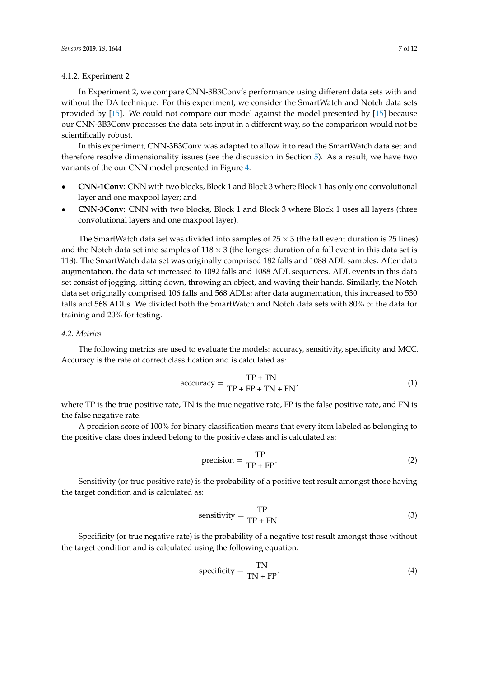## <span id="page-6-0"></span>4.1.2. Experiment 2

In Experiment 2, we compare CNN-3B3Conv's performance using different data sets with and without the DA technique. For this experiment, we consider the SmartWatch and Notch data sets provided by [\[15\]](#page-11-2). We could not compare our model against the model presented by [\[15\]](#page-11-2) because our CNN-3B3Conv processes the data sets input in a different way, so the comparison would not be scientifically robust.

In this experiment, CNN-3B3Conv was adapted to allow it to read the SmartWatch data set and therefore resolve dimensionality issues (see the discussion in Section [5\)](#page-8-0). As a result, we have two variants of the our CNN model presented in Figure [4:](#page-4-1)

- **CNN-1Conv**: CNN with two blocks, Block 1 and Block 3 where Block 1 has only one convolutional layer and one maxpool layer; and
- **CNN-3Conv**: CNN with two blocks, Block 1 and Block 3 where Block 1 uses all layers (three convolutional layers and one maxpool layer).

The SmartWatch data set was divided into samples of  $25 \times 3$  (the fall event duration is 25 lines) and the Notch data set into samples of  $118 \times 3$  (the longest duration of a fall event in this data set is 118). The SmartWatch data set was originally comprised 182 falls and 1088 ADL samples. After data augmentation, the data set increased to 1092 falls and 1088 ADL sequences. ADL events in this data set consist of jogging, sitting down, throwing an object, and waving their hands. Similarly, the Notch data set originally comprised 106 falls and 568 ADLs; after data augmentation, this increased to 530 falls and 568 ADLs. We divided both the SmartWatch and Notch data sets with 80% of the data for training and 20% for testing.

## *4.2. Metrics*

The following metrics are used to evaluate the models: accuracy, sensitivity, specificity and MCC. Accuracy is the rate of correct classification and is calculated as:

$$
accuracy = \frac{TP + TN}{TP + FP + TN + FN'}
$$
 (1)

where TP is the true positive rate, TN is the true negative rate, FP is the false positive rate, and FN is the false negative rate.

A precision score of 100% for binary classification means that every item labeled as belonging to the positive class does indeed belong to the positive class and is calculated as:

$$
precision = \frac{TP}{TP + FP}.
$$
 (2)

Sensitivity (or true positive rate) is the probability of a positive test result amongst those having the target condition and is calculated as:

sensitivity = 
$$
\frac{\text{TP}}{\text{TP} + \text{FN}}.
$$
 (3)

Specificity (or true negative rate) is the probability of a negative test result amongst those without the target condition and is calculated using the following equation:

specificity = 
$$
\frac{TN}{TN + FP}.
$$
 (4)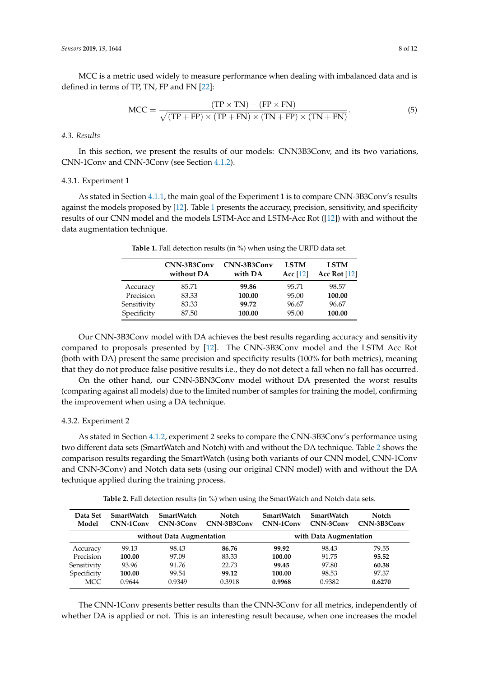MCC is a metric used widely to measure performance when dealing with imbalanced data and is defined in terms of TP, TN, FP and FN [\[22\]](#page-11-9):

$$
MCC = \frac{(TP \times TN) - (FP \times FN)}{\sqrt{(TP + FP) \times (TP + FN) \times (TN + FP) \times (TN + FN)}}.
$$
\n(5)

# *4.3. Results*

In this section, we present the results of our models: CNN3B3Conv, and its two variations, CNN-1Conv and CNN-3Conv (see Section [4.1.2\)](#page-6-0).

## 4.3.1. Experiment 1

<span id="page-7-0"></span>As stated in Section [4.1.1,](#page-5-0) the main goal of the Experiment 1 is to compare CNN-3B3Conv's results against the models proposed by [\[12\]](#page-10-11). Table [1](#page-7-0) presents the accuracy, precision, sensitivity, and specificity results of our CNN model and the models LSTM-Acc and LSTM-Acc Rot ([\[12\]](#page-10-11)) with and without the data augmentation technique.

|             | CNN-3B3Conv<br>without DA | CNN-3B3Conv<br>with DA | <b>LSTM</b><br>Acc $[12]$ | <b>LSTM</b><br>Acc Rot $[12]$ |
|-------------|---------------------------|------------------------|---------------------------|-------------------------------|
| Accuracy    | 85.71                     | 99.86                  | 95.71                     | 98.57                         |
| Precision   | 83.33                     | 100.00                 | 95.00                     | 100.00                        |
| Sensitivity | 83.33                     | 99.72                  | 96.67                     | 96.67                         |
| Specificity | 87.50                     | 100.00                 | 95.00                     | 100.00                        |

**Table 1.** Fall detection results (in %) when using the URFD data set.

Our CNN-3B3Conv model with DA achieves the best results regarding accuracy and sensitivity compared to proposals presented by [\[12\]](#page-10-11). The CNN-3B3Conv model and the LSTM Acc Rot (both with DA) present the same precision and specificity results (100% for both metrics), meaning that they do not produce false positive results i.e., they do not detect a fall when no fall has occurred.

On the other hand, our CNN-3BN3Conv model without DA presented the worst results (comparing against all models) due to the limited number of samples for training the model, confirming the improvement when using a DA technique.

## 4.3.2. Experiment 2

As stated in Section [4.1.2,](#page-6-0) experiment 2 seeks to compare the CNN-3B3Conv's performance using two different data sets (SmartWatch and Notch) with and without the DA technique. Table [2](#page-7-1) shows the comparison results regarding the SmartWatch (using both variants of our CNN model, CNN-1Conv and CNN-3Conv) and Notch data sets (using our original CNN model) with and without the DA technique applied during the training process.

**Table 2.** Fall detection results (in %) when using the SmartWatch and Notch data sets.

<span id="page-7-1"></span>

| Data Set<br>Model         | <b>SmartWatch</b><br>CNN-1Conv | <b>SmartWatch</b><br>CNN-3Conv | <b>Notch</b><br>CNN-3B3Conv | <b>SmartWatch</b><br>CNN-1Conv | <b>SmartWatch</b><br>CNN-3Conv | Notch<br>CNN-3B3Conv |
|---------------------------|--------------------------------|--------------------------------|-----------------------------|--------------------------------|--------------------------------|----------------------|
| without Data Augmentation |                                |                                | with Data Augmentation      |                                |                                |                      |
| Accuracy                  | 99.13                          | 98.43                          | 86.76                       | 99.92                          | 98.43                          | 79.55                |
| Precision                 | 100.00                         | 97.09                          | 83.33                       | 100.00                         | 91.75                          | 95.52                |
| Sensitivity               | 93.96                          | 91.76                          | 22.73                       | 99.45                          | 97.80                          | 60.38                |
| Specificity               | 100.00                         | 99.54                          | 99.12                       | 100.00                         | 98.53                          | 97.37                |
| <b>MCC</b>                | 0.9644                         | 0.9349                         | 0.3918                      | 0.9968                         | 0.9382                         | 0.6270               |

The CNN-1Conv presents better results than the CNN-3Conv for all metrics, independently of whether DA is applied or not. This is an interesting result because, when one increases the model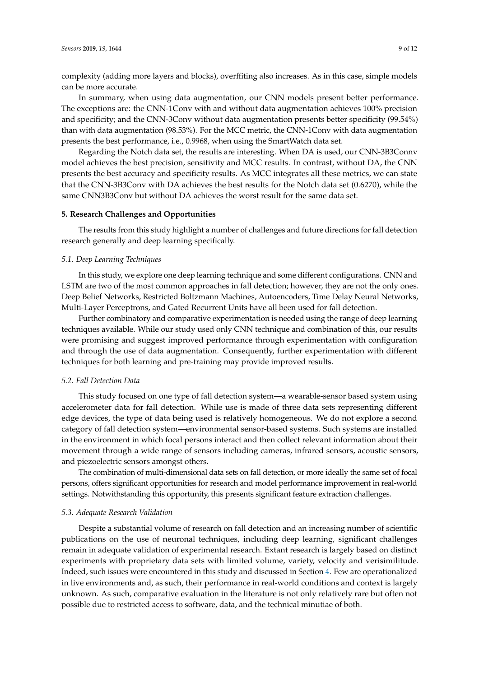complexity (adding more layers and blocks), overffiting also increases. As in this case, simple models can be more accurate.

In summary, when using data augmentation, our CNN models present better performance. The exceptions are: the CNN-1Conv with and without data augmentation achieves 100% precision and specificity; and the CNN-3Conv without data augmentation presents better specificity (99.54%) than with data augmentation (98.53%). For the MCC metric, the CNN-1Conv with data augmentation presents the best performance, i.e., 0.9968, when using the SmartWatch data set.

Regarding the Notch data set, the results are interesting. When DA is used, our CNN-3B3Connv model achieves the best precision, sensitivity and MCC results. In contrast, without DA, the CNN presents the best accuracy and specificity results. As MCC integrates all these metrics, we can state that the CNN-3B3Conv with DA achieves the best results for the Notch data set (0.6270), while the same CNN3B3Conv but without DA achieves the worst result for the same data set.

## <span id="page-8-0"></span>**5. Research Challenges and Opportunities**

The results from this study highlight a number of challenges and future directions for fall detection research generally and deep learning specifically.

## *5.1. Deep Learning Techniques*

In this study, we explore one deep learning technique and some different configurations. CNN and LSTM are two of the most common approaches in fall detection; however, they are not the only ones. Deep Belief Networks, Restricted Boltzmann Machines, Autoencoders, Time Delay Neural Networks, Multi-Layer Perceptrons, and Gated Recurrent Units have all been used for fall detection.

Further combinatory and comparative experimentation is needed using the range of deep learning techniques available. While our study used only CNN technique and combination of this, our results were promising and suggest improved performance through experimentation with configuration and through the use of data augmentation. Consequently, further experimentation with different techniques for both learning and pre-training may provide improved results.

#### *5.2. Fall Detection Data*

This study focused on one type of fall detection system—a wearable-sensor based system using accelerometer data for fall detection. While use is made of three data sets representing different edge devices, the type of data being used is relatively homogeneous. We do not explore a second category of fall detection system—environmental sensor-based systems. Such systems are installed in the environment in which focal persons interact and then collect relevant information about their movement through a wide range of sensors including cameras, infrared sensors, acoustic sensors, and piezoelectric sensors amongst others.

The combination of multi-dimensional data sets on fall detection, or more ideally the same set of focal persons, offers significant opportunities for research and model performance improvement in real-world settings. Notwithstanding this opportunity, this presents significant feature extraction challenges.

## *5.3. Adequate Research Validation*

Despite a substantial volume of research on fall detection and an increasing number of scientific publications on the use of neuronal techniques, including deep learning, significant challenges remain in adequate validation of experimental research. Extant research is largely based on distinct experiments with proprietary data sets with limited volume, variety, velocity and verisimilitude. Indeed, such issues were encountered in this study and discussed in Section [4.](#page-5-1) Few are operationalized in live environments and, as such, their performance in real-world conditions and context is largely unknown. As such, comparative evaluation in the literature is not only relatively rare but often not possible due to restricted access to software, data, and the technical minutiae of both.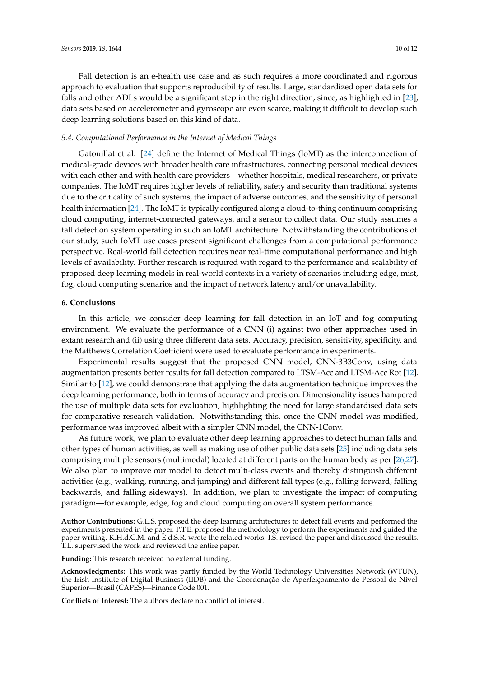Fall detection is an e-health use case and as such requires a more coordinated and rigorous approach to evaluation that supports reproducibility of results. Large, standardized open data sets for falls and other ADLs would be a significant step in the right direction, since, as highlighted in [\[23\]](#page-11-10), data sets based on accelerometer and gyroscope are even scarce, making it difficult to develop such deep learning solutions based on this kind of data.

# *5.4. Computational Performance in the Internet of Medical Things*

Gatouillat et al. [\[24\]](#page-11-11) define the Internet of Medical Things (IoMT) as the interconnection of medical-grade devices with broader health care infrastructures, connecting personal medical devices with each other and with health care providers—whether hospitals, medical researchers, or private companies. The IoMT requires higher levels of reliability, safety and security than traditional systems due to the criticality of such systems, the impact of adverse outcomes, and the sensitivity of personal health information [\[24\]](#page-11-11). The IoMT is typically configured along a cloud-to-thing continuum comprising cloud computing, internet-connected gateways, and a sensor to collect data. Our study assumes a fall detection system operating in such an IoMT architecture. Notwithstanding the contributions of our study, such IoMT use cases present significant challenges from a computational performance perspective. Real-world fall detection requires near real-time computational performance and high levels of availability. Further research is required with regard to the performance and scalability of proposed deep learning models in real-world contexts in a variety of scenarios including edge, mist, fog, cloud computing scenarios and the impact of network latency and/or unavailability.

# **6. Conclusions**

In this article, we consider deep learning for fall detection in an IoT and fog computing environment. We evaluate the performance of a CNN (i) against two other approaches used in extant research and (ii) using three different data sets. Accuracy, precision, sensitivity, specificity, and the Matthews Correlation Coefficient were used to evaluate performance in experiments.

Experimental results suggest that the proposed CNN model, CNN-3B3Conv, using data augmentation presents better results for fall detection compared to LTSM-Acc and LTSM-Acc Rot [\[12\]](#page-10-11). Similar to [\[12\]](#page-10-11), we could demonstrate that applying the data augmentation technique improves the deep learning performance, both in terms of accuracy and precision. Dimensionality issues hampered the use of multiple data sets for evaluation, highlighting the need for large standardised data sets for comparative research validation. Notwithstanding this, once the CNN model was modified, performance was improved albeit with a simpler CNN model, the CNN-1Conv.

As future work, we plan to evaluate other deep learning approaches to detect human falls and other types of human activities, as well as making use of other public data sets [\[25\]](#page-11-12) including data sets comprising multiple sensors (multimodal) located at different parts on the human body as per [\[26](#page-11-13)[,27\]](#page-11-14). We also plan to improve our model to detect multi-class events and thereby distinguish different activities (e.g., walking, running, and jumping) and different fall types (e.g., falling forward, falling backwards, and falling sideways). In addition, we plan to investigate the impact of computing paradigm—for example, edge, fog and cloud computing on overall system performance.

**Author Contributions:** G.L.S. proposed the deep learning architectures to detect fall events and performed the experiments presented in the paper. P.T.E. proposed the methodology to perform the experiments and guided the paper writing. K.H.d.C.M. and E.d.S.R. wrote the related works. I.S. revised the paper and discussed the results. T.L. supervised the work and reviewed the entire paper.

**Funding:** This research received no external funding.

**Acknowledgments:** This work was partly funded by the World Technology Universities Network (WTUN), the Irish Institute of Digital Business (IIDB) and the Coordenação de Aperfeiçoamento de Pessoal de Nível Superior—Brasil (CAPES)—Finance Code 001.

**Conflicts of Interest:** The authors declare no conflict of interest.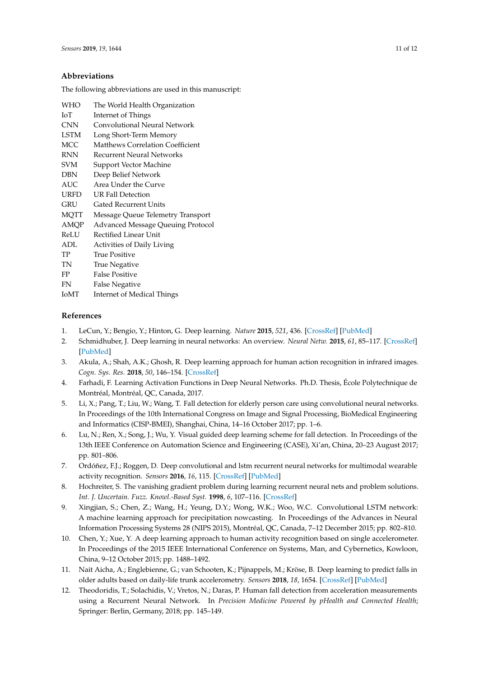## **Abbreviations**

The following abbreviations are used in this manuscript:

| WHO  | The World Health Organization            |
|------|------------------------------------------|
| IоT  | Internet of Things                       |
| CNN  | Convolutional Neural Network             |
| LSTM | Long Short-Term Memory                   |
| MCC  | <b>Matthews Correlation Coefficient</b>  |
| RNN  | Recurrent Neural Networks                |
| SVM  | Support Vector Machine                   |
| DBN  | Deep Belief Network                      |
| AUC  | Area Under the Curve                     |
| URFD | UR Fall Detection                        |
| GRU  | <b>Gated Recurrent Units</b>             |
| MQTT | Message Queue Telemetry Transport        |
| AMOP | <b>Advanced Message Queuing Protocol</b> |
| ReLU | Rectified Linear Unit                    |
| ADL  | <b>Activities of Daily Living</b>        |
| TP   | True Positive                            |
| TN   | <b>True Negative</b>                     |
| FP   | <b>False Positive</b>                    |
| FN   | <b>False Negative</b>                    |
| IoMT | <b>Internet of Medical Things</b>        |
|      |                                          |

## **References**

- <span id="page-10-0"></span>1. LeCun, Y.; Bengio, Y.; Hinton, G. Deep learning. *Nature* **2015**, *521*, 436. [\[CrossRef\]](http://dx.doi.org/10.1038/nature14539) [\[PubMed\]](http://www.ncbi.nlm.nih.gov/pubmed/26017442)
- <span id="page-10-1"></span>2. Schmidhuber, J. Deep learning in neural networks: An overview. *Neural Netw.* **2015**, *61*, 85–117. [\[CrossRef\]](http://dx.doi.org/10.1016/j.neunet.2014.09.003) [\[PubMed\]](http://www.ncbi.nlm.nih.gov/pubmed/25462637)
- <span id="page-10-2"></span>3. Akula, A.; Shah, A.K.; Ghosh, R. Deep learning approach for human action recognition in infrared images. *Cogn. Sys. Res.* **2018**, *50*, 146–154. [\[CrossRef\]](http://dx.doi.org/10.1016/j.cogsys.2018.04.002)
- <span id="page-10-3"></span>4. Farhadi, F. Learning Activation Functions in Deep Neural Networks. Ph.D. Thesis, École Polytechnique de Montréal, Montréal, QC, Canada, 2017.
- <span id="page-10-4"></span>5. Li, X.; Pang, T.; Liu, W.; Wang, T. Fall detection for elderly person care using convolutional neural networks. In Proceedings of the 10th International Congress on Image and Signal Processing, BioMedical Engineering and Informatics (CISP-BMEI), Shanghai, China, 14–16 October 2017; pp. 1–6.
- <span id="page-10-5"></span>6. Lu, N.; Ren, X.; Song, J.; Wu, Y. Visual guided deep learning scheme for fall detection. In Proceedings of the 13th IEEE Conference on Automation Science and Engineering (CASE), Xi'an, China, 20–23 August 2017; pp. 801–806.
- <span id="page-10-6"></span>7. Ordóñez, F.J.; Roggen, D. Deep convolutional and lstm recurrent neural networks for multimodal wearable activity recognition. *Sensors* **2016**, *16*, 115. [\[CrossRef\]](http://dx.doi.org/10.3390/s16010115) [\[PubMed\]](http://www.ncbi.nlm.nih.gov/pubmed/26797612)
- <span id="page-10-7"></span>8. Hochreiter, S. The vanishing gradient problem during learning recurrent neural nets and problem solutions. *Int. J. Uncertain. Fuzz. Knowl.-Based Syst.* **1998**, *6*, 107–116. [\[CrossRef\]](http://dx.doi.org/10.1142/S0218488598000094)
- <span id="page-10-8"></span>9. Xingjian, S.; Chen, Z.; Wang, H.; Yeung, D.Y.; Wong, W.K.; Woo, W.C. Convolutional LSTM network: A machine learning approach for precipitation nowcasting. In Proceedings of the Advances in Neural Information Processing Systems 28 (NIPS 2015), Montréal, QC, Canada, 7–12 December 2015; pp. 802–810.
- <span id="page-10-9"></span>10. Chen, Y.; Xue, Y. A deep learning approach to human activity recognition based on single accelerometer. In Proceedings of the 2015 IEEE International Conference on Systems, Man, and Cybernetics, Kowloon, China, 9–12 October 2015; pp. 1488–1492.
- <span id="page-10-10"></span>11. Nait Aicha, A.; Englebienne, G.; van Schooten, K.; Pijnappels, M.; Kröse, B. Deep learning to predict falls in older adults based on daily-life trunk accelerometry. *Sensors* **2018**, *18*, 1654. [\[CrossRef\]](http://dx.doi.org/10.3390/s18051654) [\[PubMed\]](http://www.ncbi.nlm.nih.gov/pubmed/29786659)
- <span id="page-10-11"></span>12. Theodoridis, T.; Solachidis, V.; Vretos, N.; Daras, P. Human fall detection from acceleration measurements using a Recurrent Neural Network. In *Precision Medicine Powered by pHealth and Connected Health*; Springer: Berlin, Germany, 2018; pp. 145–149.